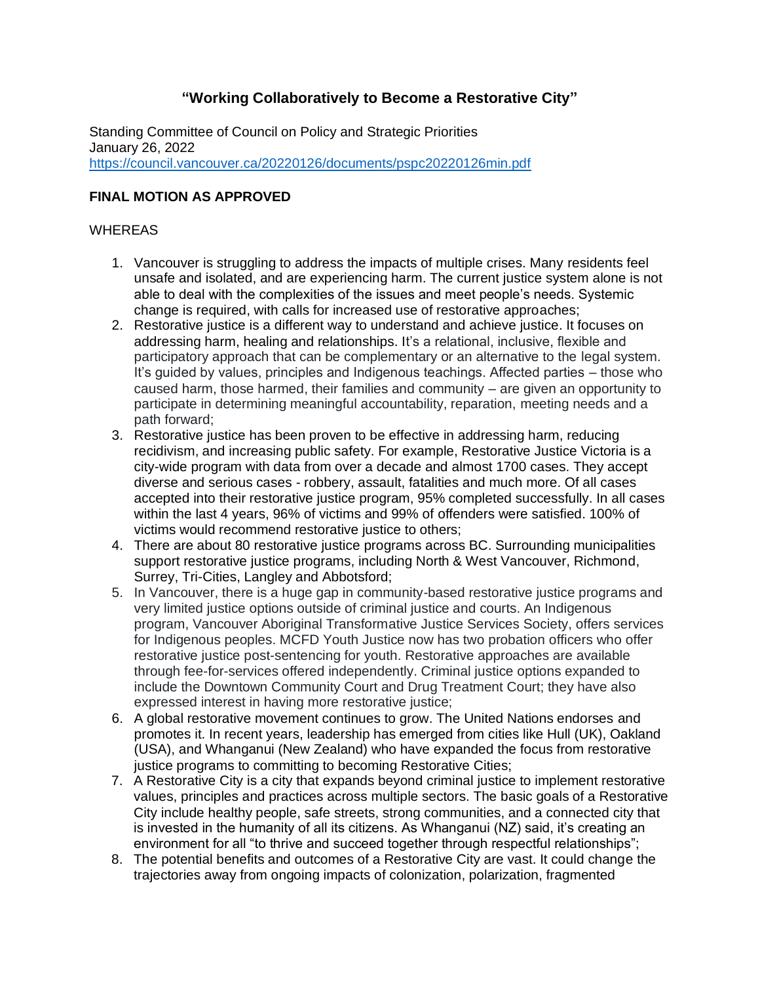# **"Working Collaboratively to Become a Restorative City"**

Standing Committee of Council on Policy and Strategic Priorities January 26, 2022 <https://council.vancouver.ca/20220126/documents/pspc20220126min.pdf>

# **FINAL MOTION AS APPROVED**

#### WHEREAS

- 1. Vancouver is struggling to address the impacts of multiple crises. Many residents feel unsafe and isolated, and are experiencing harm. The current justice system alone is not able to deal with the complexities of the issues and meet people's needs. Systemic change is required, with calls for increased use of restorative approaches;
- 2. Restorative justice is a different way to understand and achieve justice. It focuses on addressing harm, healing and relationships. It's a relational, inclusive, flexible and participatory approach that can be complementary or an alternative to the legal system. It's guided by values, principles and Indigenous teachings. Affected parties – those who caused harm, those harmed, their families and community – are given an opportunity to participate in determining meaningful accountability, reparation, meeting needs and a path forward;
- 3. Restorative justice has been proven to be effective in addressing harm, reducing recidivism, and increasing public safety. For example, Restorative Justice Victoria is a city-wide program with data from over a decade and almost 1700 cases. They accept diverse and serious cases - robbery, assault, fatalities and much more. Of all cases accepted into their restorative justice program, 95% completed successfully. In all cases within the last 4 years, 96% of victims and 99% of offenders were satisfied. 100% of victims would recommend restorative justice to others;
- 4. There are about 80 restorative justice programs across BC. Surrounding municipalities support restorative justice programs, including North & West Vancouver, Richmond, Surrey, Tri-Cities, Langley and Abbotsford;
- 5. In Vancouver, there is a huge gap in community-based restorative justice programs and very limited justice options outside of criminal justice and courts. An Indigenous program, Vancouver Aboriginal Transformative Justice Services Society, offers services for Indigenous peoples. MCFD Youth Justice now has two probation officers who offer restorative justice post-sentencing for youth. Restorative approaches are available through fee-for-services offered independently. Criminal justice options expanded to include the Downtown Community Court and Drug Treatment Court; they have also expressed interest in having more restorative justice;
- 6. A global restorative movement continues to grow. The United Nations endorses and promotes it. In recent years, leadership has emerged from cities like Hull (UK), Oakland (USA), and Whanganui (New Zealand) who have expanded the focus from restorative justice programs to committing to becoming Restorative Cities;
- 7. A Restorative City is a city that expands beyond criminal justice to implement restorative values, principles and practices across multiple sectors. The basic goals of a Restorative City include healthy people, safe streets, strong communities, and a connected city that is invested in the humanity of all its citizens. As Whanganui (NZ) said, it's creating an environment for all "to thrive and succeed together through respectful relationships";
- 8. The potential benefits and outcomes of a Restorative City are vast. It could change the trajectories away from ongoing impacts of colonization, polarization, fragmented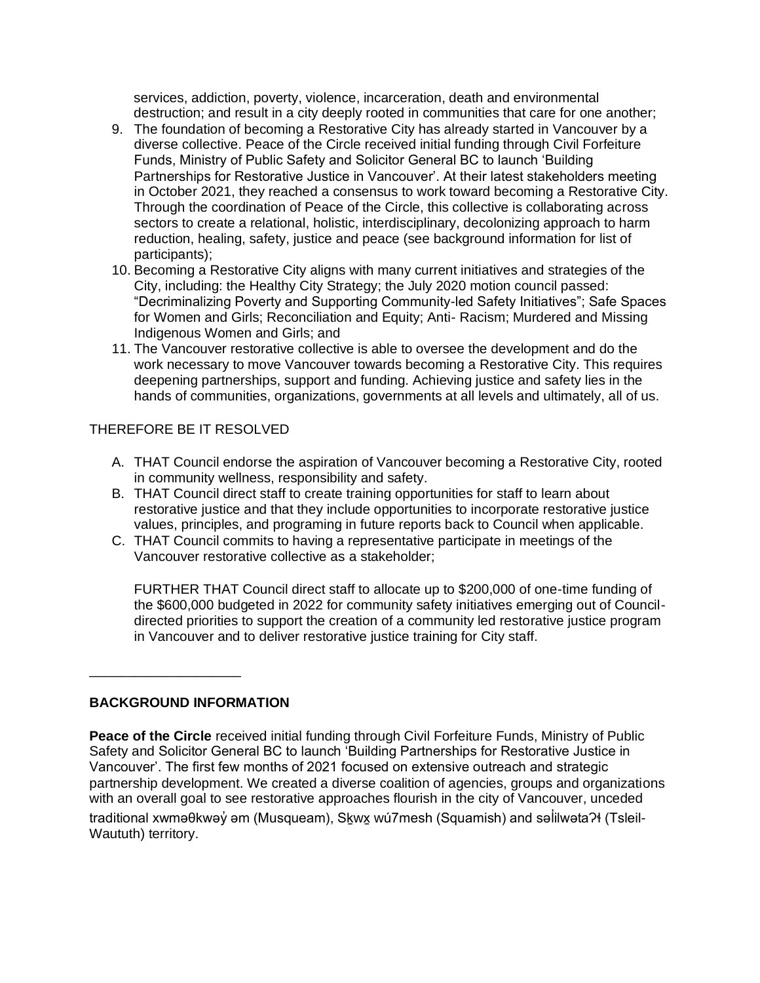services, addiction, poverty, violence, incarceration, death and environmental destruction; and result in a city deeply rooted in communities that care for one another;

- 9. The foundation of becoming a Restorative City has already started in Vancouver by a diverse collective. Peace of the Circle received initial funding through Civil Forfeiture Funds, Ministry of Public Safety and Solicitor General BC to launch 'Building Partnerships for Restorative Justice in Vancouver'. At their latest stakeholders meeting in October 2021, they reached a consensus to work toward becoming a Restorative City. Through the coordination of Peace of the Circle, this collective is collaborating across sectors to create a relational, holistic, interdisciplinary, decolonizing approach to harm reduction, healing, safety, justice and peace (see background information for list of participants);
- 10. Becoming a Restorative City aligns with many current initiatives and strategies of the City, including: the Healthy City Strategy; the July 2020 motion council passed: "Decriminalizing Poverty and Supporting Community-led Safety Initiatives"; Safe Spaces for Women and Girls; Reconciliation and Equity; Anti- Racism; Murdered and Missing Indigenous Women and Girls; and
- 11. The Vancouver restorative collective is able to oversee the development and do the work necessary to move Vancouver towards becoming a Restorative City. This requires deepening partnerships, support and funding. Achieving justice and safety lies in the hands of communities, organizations, governments at all levels and ultimately, all of us.

## THEREFORE BE IT RESOLVED

- A. THAT Council endorse the aspiration of Vancouver becoming a Restorative City, rooted in community wellness, responsibility and safety.
- B. THAT Council direct staff to create training opportunities for staff to learn about restorative justice and that they include opportunities to incorporate restorative justice values, principles, and programing in future reports back to Council when applicable.
- C. THAT Council commits to having a representative participate in meetings of the Vancouver restorative collective as a stakeholder;

FURTHER THAT Council direct staff to allocate up to \$200,000 of one-time funding of the \$600,000 budgeted in 2022 for community safety initiatives emerging out of Councildirected priorities to support the creation of a community led restorative justice program in Vancouver and to deliver restorative justice training for City staff.

## **BACKGROUND INFORMATION**

\_\_\_\_\_\_\_\_\_\_\_\_\_\_\_\_\_\_\_\_

**Peace of the Circle** received initial funding through Civil Forfeiture Funds, Ministry of Public Safety and Solicitor General BC to launch 'Building Partnerships for Restorative Justice in Vancouver'. The first few months of 2021 focused on extensive outreach and strategic partnership development. We created a diverse coalition of agencies, groups and organizations with an overall goal to see restorative approaches flourish in the city of Vancouver, unceded traditional xwməθkwəỷ əm (Musqueam), S<u>k</u>wỵ wú7mesh (Squamish) and səİilwətaʔɬ (Tsleil-̓ Waututh) territory.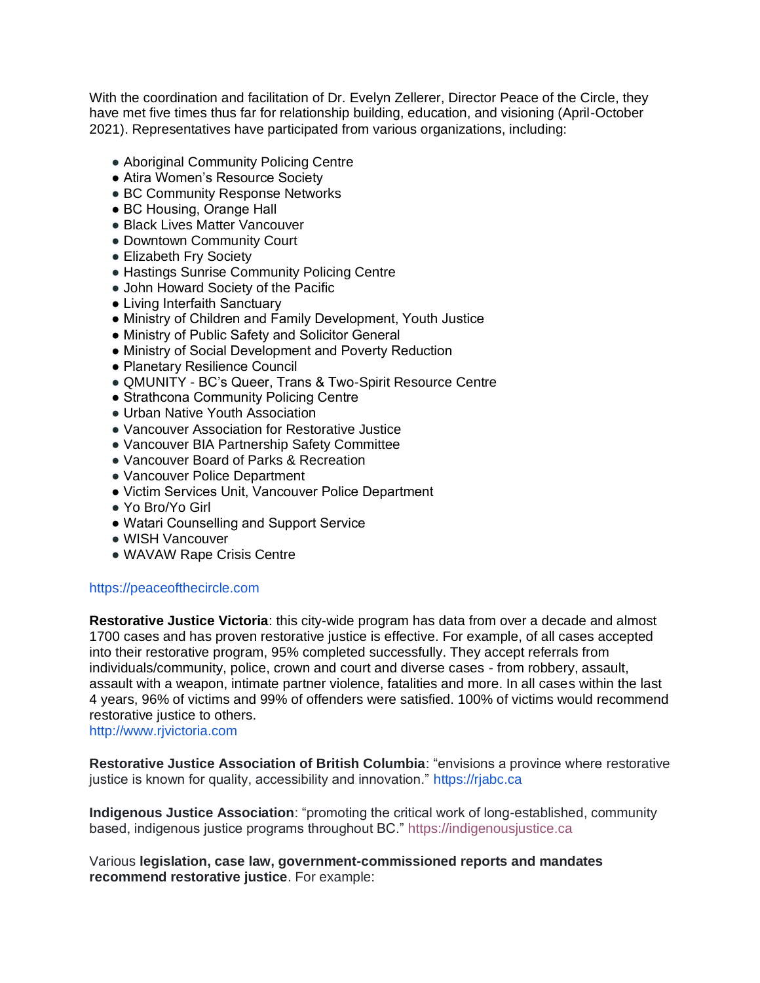With the coordination and facilitation of Dr. Evelyn Zellerer, Director Peace of the Circle, they have met five times thus far for relationship building, education, and visioning (April-October 2021). Representatives have participated from various organizations, including:

- Aboriginal Community Policing Centre
- Atira Women's Resource Society
- BC Community Response Networks
- BC Housing, Orange Hall
- Black Lives Matter Vancouver
- Downtown Community Court
- Elizabeth Fry Society
- Hastings Sunrise Community Policing Centre
- John Howard Society of the Pacific
- Living Interfaith Sanctuary
- Ministry of Children and Family Development, Youth Justice
- Ministry of Public Safety and Solicitor General
- Ministry of Social Development and Poverty Reduction
- Planetary Resilience Council
- QMUNITY BC's Queer, Trans & Two-Spirit Resource Centre
- Strathcona Community Policing Centre
- Urban Native Youth Association
- Vancouver Association for Restorative Justice
- Vancouver BIA Partnership Safety Committee
- Vancouver Board of Parks & Recreation
- Vancouver Police Department
- Victim Services Unit, Vancouver Police Department
- Yo Bro/Yo Girl
- Watari Counselling and Support Service
- WISH Vancouver
- WAVAW Rape Crisis Centre

#### https://peaceofthecircle.com

**Restorative Justice Victoria**: this city-wide program has data from over a decade and almost 1700 cases and has proven restorative justice is effective. For example, of all cases accepted into their restorative program, 95% completed successfully. They accept referrals from individuals/community, police, crown and court and diverse cases - from robbery, assault, assault with a weapon, intimate partner violence, fatalities and more. In all cases within the last 4 years, 96% of victims and 99% of offenders were satisfied. 100% of victims would recommend restorative justice to others.

http://www.rjvictoria.com

**Restorative Justice Association of British Columbia**: "envisions a province where restorative justice is known for quality, accessibility and innovation." https://rjabc.ca

**Indigenous Justice Association**: "promoting the critical work of long-established, community based, indigenous justice programs throughout BC." https://indigenousjustice.ca

Various **legislation, case law, government-commissioned reports and mandates recommend restorative justice**. For example: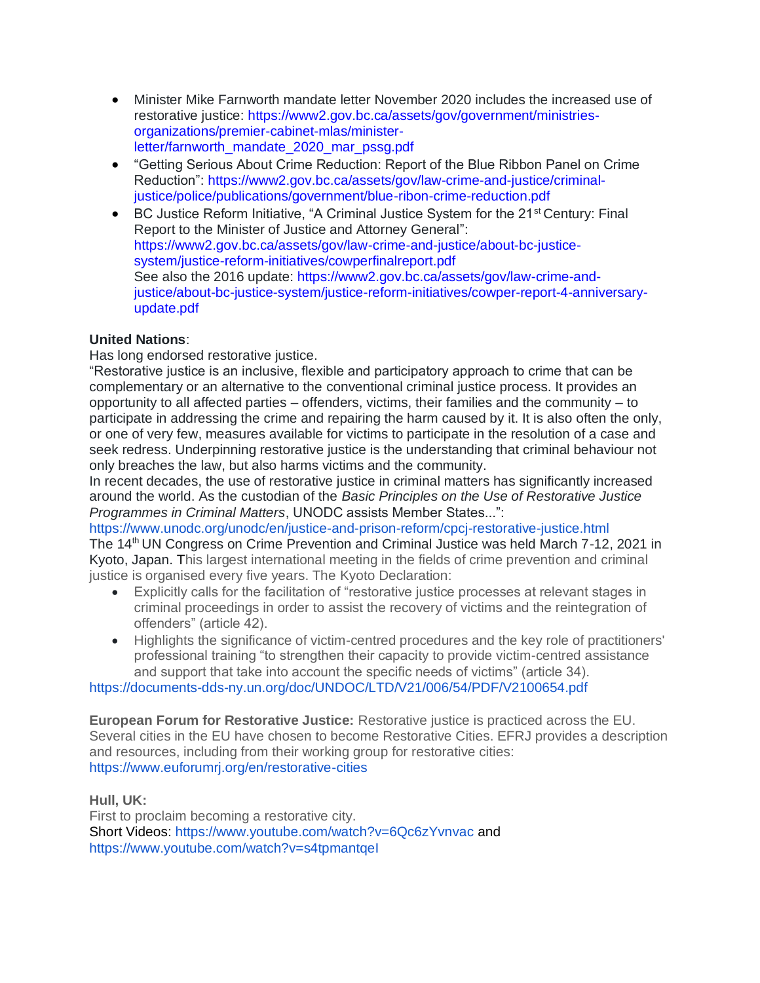- Minister Mike Farnworth mandate letter November 2020 includes the increased use of restorative justice: https://www2.gov.bc.ca/assets/gov/government/ministriesorganizations/premier-cabinet-mlas/ministerletter/farnworth\_mandate\_2020\_mar\_pssg.pdf
- "Getting Serious About Crime Reduction: Report of the Blue Ribbon Panel on Crime Reduction": https://www2.gov.bc.ca/assets/gov/law-crime-and-justice/criminaljustice/police/publications/government/blue-ribon-crime-reduction.pdf
- BC Justice Reform Initiative, "A Criminal Justice System for the  $21<sup>st</sup>$  Century: Final Report to the Minister of Justice and Attorney General": https://www2.gov.bc.ca/assets/gov/law-crime-and-justice/about-bc-justicesystem/justice-reform-initiatives/cowperfinalreport.pdf See also the 2016 update: https://www2.gov.bc.ca/assets/gov/law-crime-andjustice/about-bc-justice-system/justice-reform-initiatives/cowper-report-4-anniversaryupdate.pdf

# **United Nations**:

Has long endorsed restorative justice.

"Restorative justice is an inclusive, flexible and participatory approach to crime that can be complementary or an alternative to the conventional criminal justice process. It provides an opportunity to all affected parties – offenders, victims, their families and the community – to participate in addressing the crime and repairing the harm caused by it. It is also often the only, or one of very few, measures available for victims to participate in the resolution of a case and seek redress. Underpinning restorative justice is the understanding that criminal behaviour not only breaches the law, but also harms victims and the community.

In recent decades, the use of restorative justice in criminal matters has significantly increased around the world. As the custodian of the *Basic Principles on the Use of Restorative Justice Programmes in Criminal Matters*, UNODC assists Member States...":

https://www.unodc.org/unodc/en/justice-and-prison-reform/cpcj-restorative-justice.html The 14<sup>th</sup> UN Congress on Crime Prevention and Criminal Justice was held March 7-12, 2021 in Kyoto, Japan. This largest international meeting in the fields of crime prevention and criminal justice is organised every five years. The Kyoto Declaration:

- Explicitly calls for the facilitation of "restorative justice processes at relevant stages in criminal proceedings in order to assist the recovery of victims and the reintegration of offenders" (article 42).
- Highlights the significance of victim-centred procedures and the key role of practitioners' professional training "to strengthen their capacity to provide victim-centred assistance and support that take into account the specific needs of victims" (article 34).

https://documents-dds-ny.un.org/doc/UNDOC/LTD/V21/006/54/PDF/V2100654.pdf

**European Forum for Restorative Justice:** Restorative justice is practiced across the EU. Several cities in the EU have chosen to become Restorative Cities. EFRJ provides a description and resources, including from their working group for restorative cities: https://www.euforumrj.org/en/restorative-cities

**Hull, UK:** 

First to proclaim becoming a restorative city. Short Videos: https://www.youtube.com/watch?v=6Qc6zYvnvac and https://www.youtube.com/watch?v=s4tpmantqel